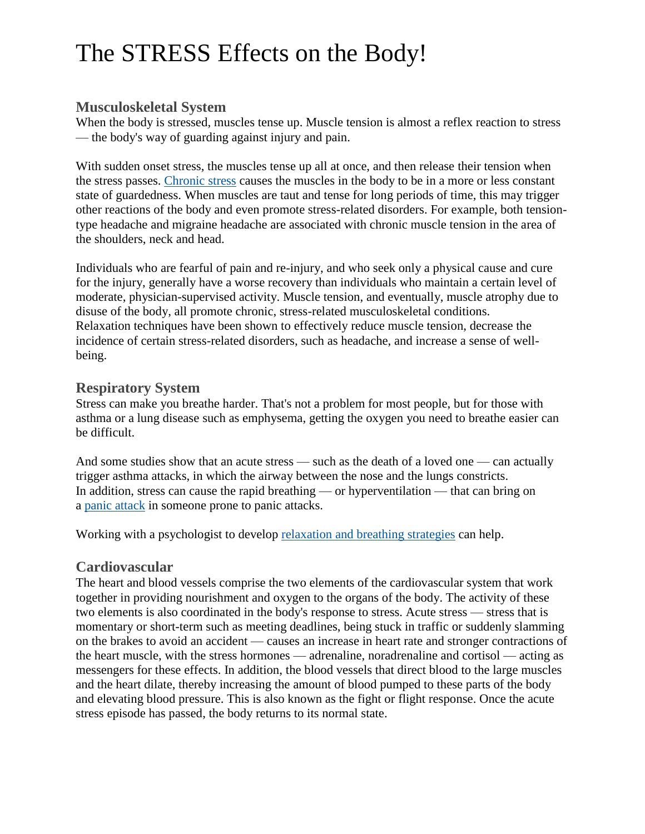# **Musculoskeletal System**

When the body is stressed, muscles tense up. Muscle tension is almost a reflex reaction to stress — the body's way of guarding against injury and pain.

With sudden onset stress, the muscles tense up all at once, and then release their tension when the stress passes. [Chronic](http://www.apa.org/helpcenter/understanding-chronic-stress.aspx) stress causes the muscles in the body to be in a more or less constant state of guardedness. When muscles are taut and tense for long periods of time, this may trigger other reactions of the body and even promote stress-related disorders. For example, both tensiontype headache and migraine headache are associated with chronic muscle tension in the area of the shoulders, neck and head.

Individuals who are fearful of pain and re-injury, and who seek only a physical cause and cure for the injury, generally have a worse recovery than individuals who maintain a certain level of moderate, physician-supervised activity. Muscle tension, and eventually, muscle atrophy due to disuse of the body, all promote chronic, stress-related musculoskeletal conditions. Relaxation techniques have been shown to effectively reduce muscle tension, decrease the incidence of certain stress-related disorders, such as headache, and increase a sense of wellbeing.

# **Respiratory System**

Stress can make you breathe harder. That's not a problem for most people, but for those with asthma or a lung disease such as emphysema, getting the oxygen you need to breathe easier can be difficult.

And some studies show that an acute stress — such as the death of a loved one — can actually trigger asthma attacks, in which the airway between the nose and the lungs constricts. In addition, stress can cause the rapid breathing — or hyperventilation — that can bring on a panic [attack](http://www.apa.org/topics/anxiety/panic-disorder.aspx) in someone prone to panic attacks.

Working with a psychologist to develop [relaxation](http://www.apa.org/helpcenter/controlling-anger.aspx) and breathing strategies can help.

# **Cardiovascular**

The heart and blood vessels comprise the two elements of the cardiovascular system that work together in providing nourishment and oxygen to the organs of the body. The activity of these two elements is also coordinated in the body's response to stress. Acute stress — stress that is momentary or short-term such as meeting deadlines, being stuck in traffic or suddenly slamming on the brakes to avoid an accident — causes an increase in heart rate and stronger contractions of the heart muscle, with the stress hormones — adrenaline, noradrenaline and cortisol — acting as messengers for these effects. In addition, the blood vessels that direct blood to the large muscles and the heart dilate, thereby increasing the amount of blood pumped to these parts of the body and elevating blood pressure. This is also known as the fight or flight response. Once the acute stress episode has passed, the body returns to its normal state.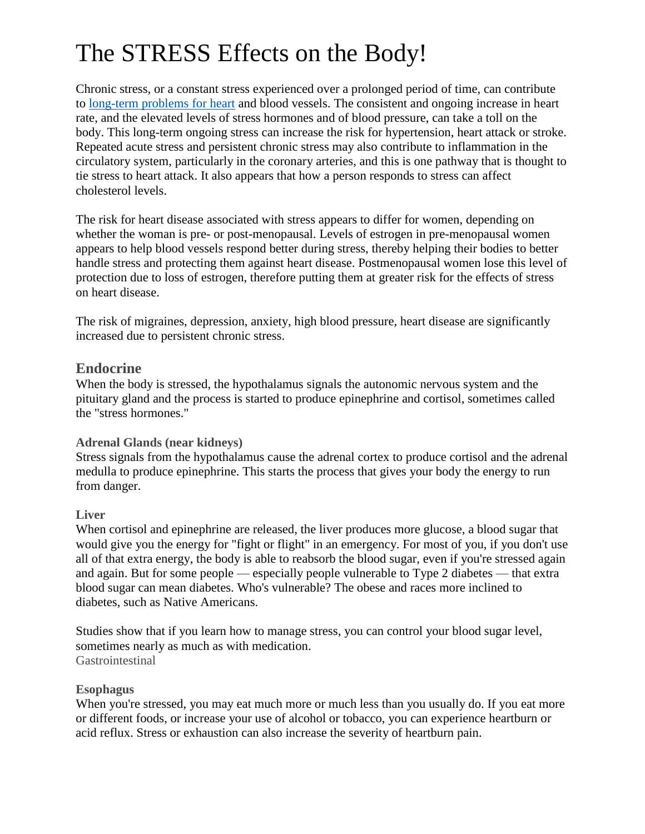Chronic stress, or a constant stress experienced over a prolonged period of time, can contribute to [long-term](http://www.apa.org/helpcenter/heart-disease.aspx) problems for heart and blood vessels. The consistent and ongoing increase in heart rate, and the elevated levels of stress hormones and of blood pressure, can take a toll on the body. This long-term ongoing stress can increase the risk for hypertension, heart attack or stroke. Repeated acute stress and persistent chronic stress may also contribute to inflammation in the circulatory system, particularly in the coronary arteries, and this is one pathway that is thought to tie stress to heart attack. It also appears that how a person responds to stress can affect cholesterol levels.

The risk for heart disease associated with stress appears to differ for women, depending on whether the woman is pre- or post-menopausal. Levels of estrogen in pre-menopausal women appears to help blood vessels respond better during stress, thereby helping their bodies to better handle stress and protecting them against heart disease. Postmenopausal women lose this level of protection due to loss of estrogen, therefore putting them at greater risk for the effects of stress on heart disease.

The risk of migraines, depression, anxiety, high blood pressure, heart disease are significantly increased due to persistent chronic stress.

# **Endocrine**

When the body is stressed, the hypothalamus signals the autonomic nervous system and the pituitary gland and the process is started to produce epinephrine and cortisol, sometimes called the "stress hormones."

# **Adrenal Glands (near kidneys)**

Stress signals from the hypothalamus cause the adrenal cortex to produce cortisol and the adrenal medulla to produce epinephrine. This starts the process that gives your body the energy to run from danger.

# **Liver**

When cortisol and epinephrine are released, the liver produces more glucose, a blood sugar that would give you the energy for "fight or flight" in an emergency. For most of you, if you don't use all of that extra energy, the body is able to reabsorb the blood sugar, even if you're stressed again and again. But for some people — especially people vulnerable to Type 2 diabetes — that extra blood sugar can mean diabetes. Who's vulnerable? The obese and races more inclined to diabetes, such as Native Americans.

Studies show that if you learn how to manage stress, you can control your blood sugar level, sometimes nearly as much as with medication. **Gastrointestinal** 

# **Esophagus**

When you're stressed, you may eat much more or much less than you usually do. If you eat more or different foods, or increase your use of alcohol or tobacco, you can experience heartburn or acid reflux. Stress or exhaustion can also increase the severity of heartburn pain.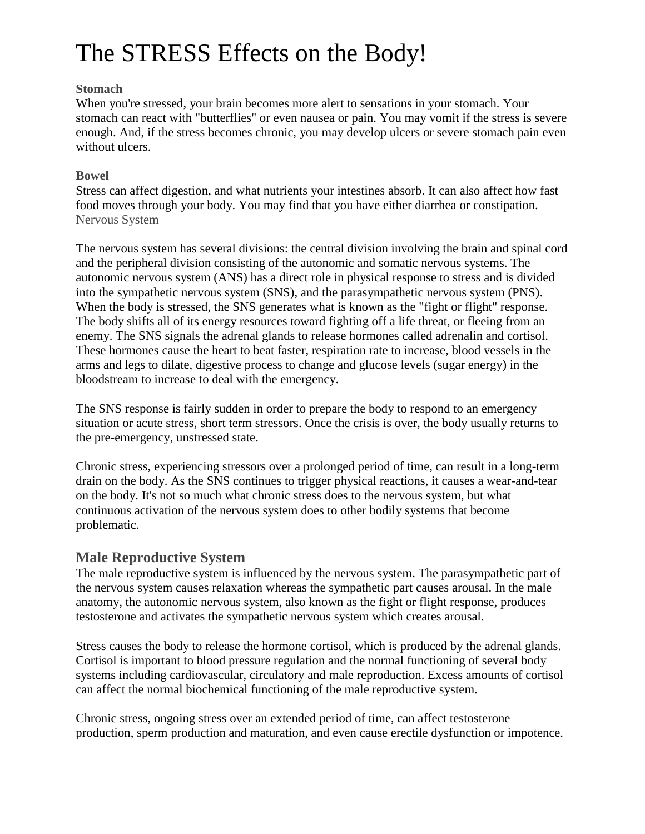### **Stomach**

When you're stressed, your brain becomes more alert to sensations in your stomach. Your stomach can react with "butterflies" or even nausea or pain. You may vomit if the stress is severe enough. And, if the stress becomes chronic, you may develop ulcers or severe stomach pain even without ulcers.

### **Bowel**

Stress can affect digestion, and what nutrients your intestines absorb. It can also affect how fast food moves through your body. You may find that you have either diarrhea or constipation. Nervous System

The nervous system has several divisions: the central division involving the brain and spinal cord and the peripheral division consisting of the autonomic and somatic nervous systems. The autonomic nervous system (ANS) has a direct role in physical response to stress and is divided into the sympathetic nervous system (SNS), and the parasympathetic nervous system (PNS). When the body is stressed, the SNS generates what is known as the "fight or flight" response. The body shifts all of its energy resources toward fighting off a life threat, or fleeing from an enemy. The SNS signals the adrenal glands to release hormones called adrenalin and cortisol. These hormones cause the heart to beat faster, respiration rate to increase, blood vessels in the arms and legs to dilate, digestive process to change and glucose levels (sugar energy) in the bloodstream to increase to deal with the emergency.

The SNS response is fairly sudden in order to prepare the body to respond to an emergency situation or acute stress, short term stressors. Once the crisis is over, the body usually returns to the pre-emergency, unstressed state.

Chronic stress, experiencing stressors over a prolonged period of time, can result in a long-term drain on the body. As the SNS continues to trigger physical reactions, it causes a wear-and-tear on the body. It's not so much what chronic stress does to the nervous system, but what continuous activation of the nervous system does to other bodily systems that become problematic.

# **Male Reproductive System**

The male reproductive system is influenced by the nervous system. The parasympathetic part of the nervous system causes relaxation whereas the sympathetic part causes arousal. In the male anatomy, the autonomic nervous system, also known as the fight or flight response, produces testosterone and activates the sympathetic nervous system which creates arousal.

Stress causes the body to release the hormone cortisol, which is produced by the adrenal glands. Cortisol is important to blood pressure regulation and the normal functioning of several body systems including cardiovascular, circulatory and male reproduction. Excess amounts of cortisol can affect the normal biochemical functioning of the male reproductive system.

Chronic stress, ongoing stress over an extended period of time, can affect testosterone production, sperm production and maturation, and even cause erectile dysfunction or impotence.